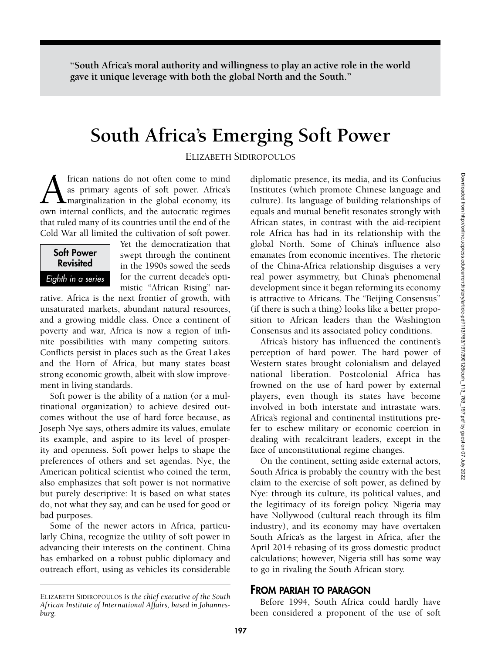**"South Africa's moral authority and willingness to play an active role in the world gave it unique leverage with both the global North and the South."**

# **South Africa's Emerging Soft Power**

Elizabeth Sidiropoulos

**A** frican nations do not often come to mind<br>as primary agents of soft power. Africa's<br>own internal conflicts, and the autocratic regimes as primary agents of soft power. Africa's marginalization in the global economy, its own internal conflicts, and the autocratic regimes that ruled many of its countries until the end of the Cold War all limited the cultivation of soft power.



Yet the democratization that swept through the continent in the 1990s sowed the seeds for the current decade's optimistic "African Rising" nar-

rative. Africa is the next frontier of growth, with unsaturated markets, abundant natural resources, and a growing middle class. Once a continent of poverty and war, Africa is now a region of infinite possibilities with many competing suitors. Conflicts persist in places such as the Great Lakes and the Horn of Africa, but many states boast strong economic growth, albeit with slow improvement in living standards.

Soft power is the ability of a nation (or a multinational organization) to achieve desired outcomes without the use of hard force because, as Joseph Nye says, others admire its values, emulate its example, and aspire to its level of prosperity and openness. Soft power helps to shape the preferences of others and set agendas. Nye, the American political scientist who coined the term, also emphasizes that soft power is not normative but purely descriptive: It is based on what states do, not what they say, and can be used for good or bad purposes.

Some of the newer actors in Africa, particularly China, recognize the utility of soft power in advancing their interests on the continent. China has embarked on a robust public diplomacy and outreach effort, using as vehicles its considerable

diplomatic presence, its media, and its Confucius Institutes (which promote Chinese language and culture). Its language of building relationships of equals and mutual benefit resonates strongly with African states, in contrast with the aid-recipient role Africa has had in its relationship with the global North. Some of China's influence also emanates from economic incentives. The rhetoric of the China-Africa relationship disguises a very real power asymmetry, but China's phenomenal development since it began reforming its economy is attractive to Africans. The "Beijing Consensus" (if there is such a thing) looks like a better proposition to African leaders than the Washington Consensus and its associated policy conditions.

Africa's history has influenced the continent's perception of hard power. The hard power of Western states brought colonialism and delayed national liberation. Postcolonial Africa has frowned on the use of hard power by external players, even though its states have become involved in both interstate and intrastate wars. Africa's regional and continental institutions prefer to eschew military or economic coercion in dealing with recalcitrant leaders, except in the face of unconstitutional regime changes.

On the continent, setting aside external actors, South Africa is probably the country with the best claim to the exercise of soft power, as defined by Nye: through its culture, its political values, and the legitimacy of its foreign policy. Nigeria may have Nollywood (cultural reach through its film industry), and its economy may have overtaken South Africa's as the largest in Africa, after the April 2014 rebasing of its gross domestic product calculations; however, Nigeria still has some way to go in rivaling the South African story.

#### From pariah to paragon

Before 1994, South Africa could hardly have been considered a proponent of the use of soft

Elizabeth Sidiropoulos *is the chief executive of the South African Institute of International Affairs, based in Johannesburg.*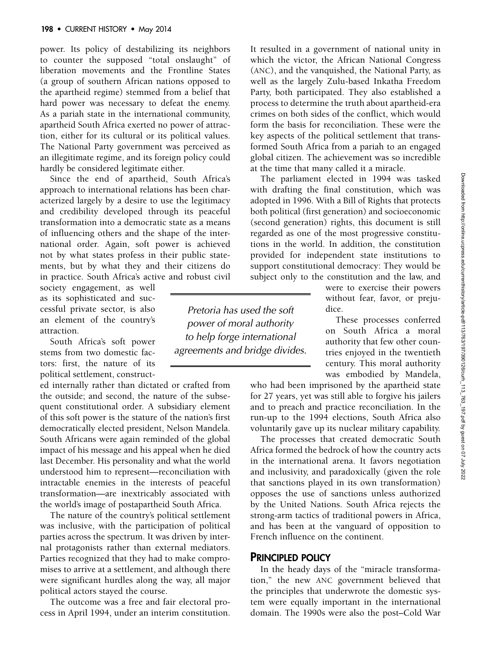power. Its policy of destabilizing its neighbors to counter the supposed "total onslaught" of liberation movements and the Frontline States (a group of southern African nations opposed to the apartheid regime) stemmed from a belief that hard power was necessary to defeat the enemy. As a pariah state in the international community, apartheid South Africa exerted no power of attraction, either for its cultural or its political values. The National Party government was perceived as an illegitimate regime, and its foreign policy could hardly be considered legitimate either.

Since the end of apartheid, South Africa's approach to international relations has been characterized largely by a desire to use the legitimacy and credibility developed through its peaceful transformation into a democratic state as a means of influencing others and the shape of the international order. Again, soft power is achieved not by what states profess in their public statements, but by what they and their citizens do in practice. South Africa's active and robust civil

society engagement, as well as its sophisticated and successful private sector, is also an element of the country's attraction.

South Africa's soft power stems from two domestic factors: first, the nature of its political settlement, construct-

ed internally rather than dictated or crafted from the outside; and second, the nature of the subsequent constitutional order. A subsidiary element of this soft power is the stature of the nation's first democratically elected president, Nelson Mandela. South Africans were again reminded of the global impact of his message and his appeal when he died last December. His personality and what the world understood him to represent—reconciliation with intractable enemies in the interests of peaceful transformation—are inextricably associated with the world's image of postapartheid South Africa.

The nature of the country's political settlement was inclusive, with the participation of political parties across the spectrum. It was driven by internal protagonists rather than external mediators. Parties recognized that they had to make compromises to arrive at a settlement, and although there were significant hurdles along the way, all major political actors stayed the course.

The outcome was a free and fair electoral process in April 1994, under an interim constitution. It resulted in a government of national unity in which the victor, the African National Congress (ANC), and the vanquished, the National Party, as well as the largely Zulu-based Inkatha Freedom Party, both participated. They also established a process to determine the truth about apartheid-era crimes on both sides of the conflict, which would form the basis for reconciliation. These were the key aspects of the political settlement that transformed South Africa from a pariah to an engaged global citizen. The achievement was so incredible at the time that many called it a miracle.

The parliament elected in 1994 was tasked with drafting the final constitution, which was adopted in 1996. With a Bill of Rights that protects both political (first generation) and socioeconomic (second generation) rights, this document is still regarded as one of the most progressive constitutions in the world. In addition, the constitution provided for independent state institutions to support constitutional democracy: They would be subject only to the constitution and the law, and

> were to exercise their powers without fear, favor, or prejudice.

> These processes conferred on South Africa a moral authority that few other countries enjoyed in the twentieth century. This moral authority was embodied by Mandela,

who had been imprisoned by the apartheid state for 27 years, yet was still able to forgive his jailers and to preach and practice reconciliation. In the run-up to the 1994 elections, South Africa also voluntarily gave up its nuclear military capability.

The processes that created democratic South Africa formed the bedrock of how the country acts in the international arena. It favors negotiation and inclusivity, and paradoxically (given the role that sanctions played in its own transformation) opposes the use of sanctions unless authorized by the United Nations. South Africa rejects the strong-arm tactics of traditional powers in Africa, and has been at the vanguard of opposition to French influence on the continent.

#### Principled policy

In the heady days of the "miracle transformation," the new ANC government believed that the principles that underwrote the domestic system were equally important in the international domain. The 1990s were also the post–Cold War

*Pretoria has used the soft power of moral authority to help forge international agreements and bridge divides.*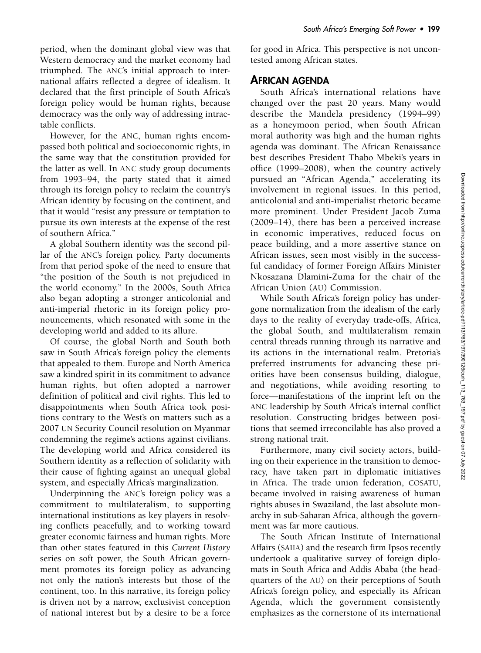period, when the dominant global view was that Western democracy and the market economy had triumphed. The ANC's initial approach to international affairs reflected a degree of idealism. It declared that the first principle of South Africa's foreign policy would be human rights, because democracy was the only way of addressing intractable conflicts.

However, for the ANC, human rights encompassed both political and socioeconomic rights, in the same way that the constitution provided for the latter as well. In ANC study group documents from 1993–94, the party stated that it aimed through its foreign policy to reclaim the country's African identity by focusing on the continent, and that it would "resist any pressure or temptation to pursue its own interests at the expense of the rest of southern Africa."

A global Southern identity was the second pillar of the ANC's foreign policy. Party documents from that period spoke of the need to ensure that "the position of the South is not prejudiced in the world economy." In the 2000s, South Africa also began adopting a stronger anticolonial and anti-imperial rhetoric in its foreign policy pronouncements, which resonated with some in the developing world and added to its allure.

Of course, the global North and South both saw in South Africa's foreign policy the elements that appealed to them. Europe and North America saw a kindred spirit in its commitment to advance human rights, but often adopted a narrower definition of political and civil rights. This led to disappointments when South Africa took positions contrary to the West's on matters such as a 2007 UN Security Council resolution on Myanmar condemning the regime's actions against civilians. The developing world and Africa considered its Southern identity as a reflection of solidarity with their cause of fighting against an unequal global system, and especially Africa's marginalization.

Underpinning the ANC's foreign policy was a commitment to multilateralism, to supporting international institutions as key players in resolving conflicts peacefully, and to working toward greater economic fairness and human rights. More than other states featured in this *Current History* series on soft power, the South African government promotes its foreign policy as advancing not only the nation's interests but those of the continent, too. In this narrative, its foreign policy is driven not by a narrow, exclusivist conception of national interest but by a desire to be a force

for good in Africa. This perspective is not uncontested among African states.

## African agenda

South Africa's international relations have changed over the past 20 years. Many would describe the Mandela presidency (1994–99) as a honeymoon period, when South African moral authority was high and the human rights agenda was dominant. The African Renaissance best describes President Thabo Mbeki's years in office (1999–2008), when the country actively pursued an "African Agenda," accelerating its involvement in regional issues. In this period, anticolonial and anti-imperialist rhetoric became more prominent. Under President Jacob Zuma (2009–14), there has been a perceived increase in economic imperatives, reduced focus on peace building, and a more assertive stance on African issues, seen most visibly in the successful candidacy of former Foreign Affairs Minister Nkosazana Dlamini-Zuma for the chair of the African Union (AU) Commission.

While South Africa's foreign policy has undergone normalization from the idealism of the early days to the reality of everyday trade-offs, Africa, the global South, and multilateralism remain central threads running through its narrative and its actions in the international realm. Pretoria's preferred instruments for advancing these priorities have been consensus building, dialogue, and negotiations, while avoiding resorting to force—manifestations of the imprint left on the ANC leadership by South Africa's internal conflict resolution. Constructing bridges between positions that seemed irreconcilable has also proved a strong national trait.

Furthermore, many civil society actors, building on their experience in the transition to democracy, have taken part in diplomatic initiatives in Africa. The trade union federation, COSATU, became involved in raising awareness of human rights abuses in Swaziland, the last absolute monarchy in sub-Saharan Africa, although the government was far more cautious.

The South African Institute of International Affairs (SAIIA) and the research firm Ipsos recently undertook a qualitative survey of foreign diplomats in South Africa and Addis Ababa (the headquarters of the AU) on their perceptions of South Africa's foreign policy, and especially its African Agenda, which the government consistently emphasizes as the cornerstone of its international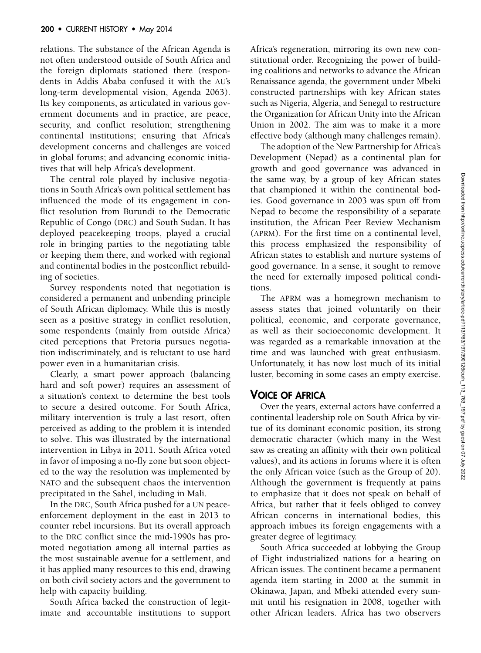relations. The substance of the African Agenda is not often understood outside of South Africa and the foreign diplomats stationed there (respondents in Addis Ababa confused it with the AU's long-term developmental vision, Agenda 2063). Its key components, as articulated in various government documents and in practice, are peace, security, and conflict resolution; strengthening continental institutions; ensuring that Africa's development concerns and challenges are voiced in global forums; and advancing economic initiatives that will help Africa's development.

The central role played by inclusive negotiations in South Africa's own political settlement has influenced the mode of its engagement in conflict resolution from Burundi to the Democratic Republic of Congo (DRC) and South Sudan. It has deployed peacekeeping troops, played a crucial role in bringing parties to the negotiating table or keeping them there, and worked with regional and continental bodies in the postconflict rebuilding of societies.

Survey respondents noted that negotiation is considered a permanent and unbending principle of South African diplomacy. While this is mostly seen as a positive strategy in conflict resolution, some respondents (mainly from outside Africa) cited perceptions that Pretoria pursues negotiation indiscriminately, and is reluctant to use hard power even in a humanitarian crisis.

Clearly, a smart power approach (balancing hard and soft power) requires an assessment of a situation's context to determine the best tools to secure a desired outcome. For South Africa, military intervention is truly a last resort, often perceived as adding to the problem it is intended to solve. This was illustrated by the international intervention in Libya in 2011. South Africa voted in favor of imposing a no-fly zone but soon objected to the way the resolution was implemented by NATO and the subsequent chaos the intervention precipitated in the Sahel, including in Mali.

In the DRC, South Africa pushed for a UN peaceenforcement deployment in the east in 2013 to counter rebel incursions. But its overall approach to the DRC conflict since the mid-1990s has promoted negotiation among all internal parties as the most sustainable avenue for a settlement, and it has applied many resources to this end, drawing on both civil society actors and the government to help with capacity building.

South Africa backed the construction of legitimate and accountable institutions to support Africa's regeneration, mirroring its own new constitutional order. Recognizing the power of building coalitions and networks to advance the African Renaissance agenda, the government under Mbeki constructed partnerships with key African states such as Nigeria, Algeria, and Senegal to restructure the Organization for African Unity into the African Union in 2002. The aim was to make it a more effective body (although many challenges remain).

The adoption of the New Partnership for Africa's Development (Nepad) as a continental plan for growth and good governance was advanced in the same way, by a group of key African states that championed it within the continental bodies. Good governance in 2003 was spun off from Nepad to become the responsibility of a separate institution, the African Peer Review Mechanism (APRM). For the first time on a continental level, this process emphasized the responsibility of African states to establish and nurture systems of good governance. In a sense, it sought to remove the need for externally imposed political conditions.

The APRM was a homegrown mechanism to assess states that joined voluntarily on their political, economic, and corporate governance, as well as their socioeconomic development. It was regarded as a remarkable innovation at the time and was launched with great enthusiasm. Unfortunately, it has now lost much of its initial luster, becoming in some cases an empty exercise.

## Voice of africa

Over the years, external actors have conferred a continental leadership role on South Africa by virtue of its dominant economic position, its strong democratic character (which many in the West saw as creating an affinity with their own political values), and its actions in forums where it is often the only African voice (such as the Group of 20). Although the government is frequently at pains to emphasize that it does not speak on behalf of Africa, but rather that it feels obliged to convey African concerns in international bodies, this approach imbues its foreign engagements with a greater degree of legitimacy.

South Africa succeeded at lobbying the Group of Eight industrialized nations for a hearing on African issues. The continent became a permanent agenda item starting in 2000 at the summit in Okinawa, Japan, and Mbeki attended every summit until his resignation in 2008, together with other African leaders. Africa has two observers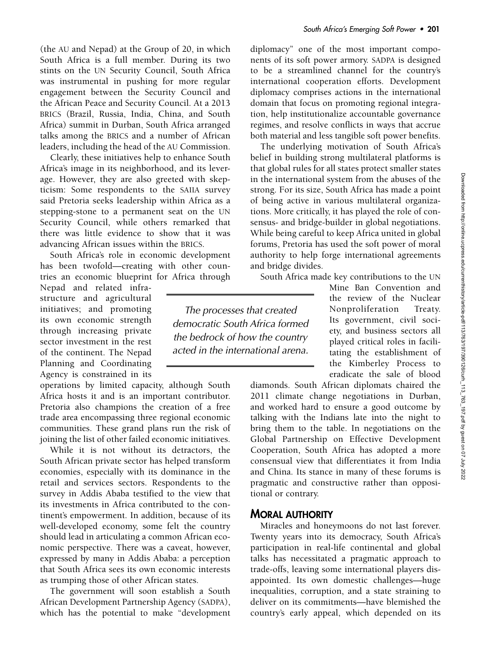(the AU and Nepad) at the Group of 20, in which South Africa is a full member. During its two stints on the UN Security Council, South Africa was instrumental in pushing for more regular engagement between the Security Council and the African Peace and Security Council. At a 2013 BRICS (Brazil, Russia, India, China, and South Africa) summit in Durban, South Africa arranged talks among the BRICS and a number of African leaders, including the head of the AU Commission.

Clearly, these initiatives help to enhance South Africa's image in its neighborhood, and its leverage. However, they are also greeted with skepticism: Some respondents to the SAIIA survey said Pretoria seeks leadership within Africa as a stepping-stone to a permanent seat on the UN Security Council, while others remarked that there was little evidence to show that it was advancing African issues within the BRICS.

South Africa's role in economic development has been twofold—creating with other countries an economic blueprint for Africa through

Nepad and related infrastructure and agricultural initiatives; and promoting its own economic strength through increasing private sector investment in the rest of the continent. The Nepad Planning and Coordinating Agency is constrained in its

operations by limited capacity, although South Africa hosts it and is an important contributor. Pretoria also champions the creation of a free trade area encompassing three regional economic communities. These grand plans run the risk of joining the list of other failed economic initiatives.

While it is not without its detractors, the South African private sector has helped transform economies, especially with its dominance in the retail and services sectors. Respondents to the survey in Addis Ababa testified to the view that its investments in Africa contributed to the continent's empowerment. In addition, because of its well-developed economy, some felt the country should lead in articulating a common African economic perspective. There was a caveat, however, expressed by many in Addis Ababa: a perception that South Africa sees its own economic interests as trumping those of other African states.

The government will soon establish a South African Development Partnership Agency (SADPA), which has the potential to make "development

diplomacy" one of the most important components of its soft power armory. SADPA is designed to be a streamlined channel for the country's international cooperation efforts. Development diplomacy comprises actions in the international domain that focus on promoting regional integration, help institutionalize accountable governance regimes, and resolve conflicts in ways that accrue both material and less tangible soft power benefits.

The underlying motivation of South Africa's belief in building strong multilateral platforms is that global rules for all states protect smaller states in the international system from the abuses of the strong. For its size, South Africa has made a point of being active in various multilateral organizations. More critically, it has played the role of consensus- and bridge-builder in global negotiations. While being careful to keep Africa united in global forums, Pretoria has used the soft power of moral authority to help forge international agreements and bridge divides.

South Africa made key contributions to the UN

*The processes that created democratic South Africa formed the bedrock of how the country acted in the international arena.*

Mine Ban Convention and the review of the Nuclear Nonproliferation Treaty. Its government, civil society, and business sectors all played critical roles in facilitating the establishment of the Kimberley Process to eradicate the sale of blood

diamonds. South African diplomats chaired the 2011 climate change negotiations in Durban, and worked hard to ensure a good outcome by talking with the Indians late into the night to bring them to the table. In negotiations on the Global Partnership on Effective Development Cooperation, South Africa has adopted a more consensual view that differentiates it from India and China. Its stance in many of these forums is pragmatic and constructive rather than oppositional or contrary.

#### Moral authority

Miracles and honeymoons do not last forever. Twenty years into its democracy, South Africa's participation in real-life continental and global talks has necessitated a pragmatic approach to trade-offs, leaving some international players disappointed. Its own domestic challenges—huge inequalities, corruption, and a state straining to deliver on its commitments—have blemished the country's early appeal, which depended on its